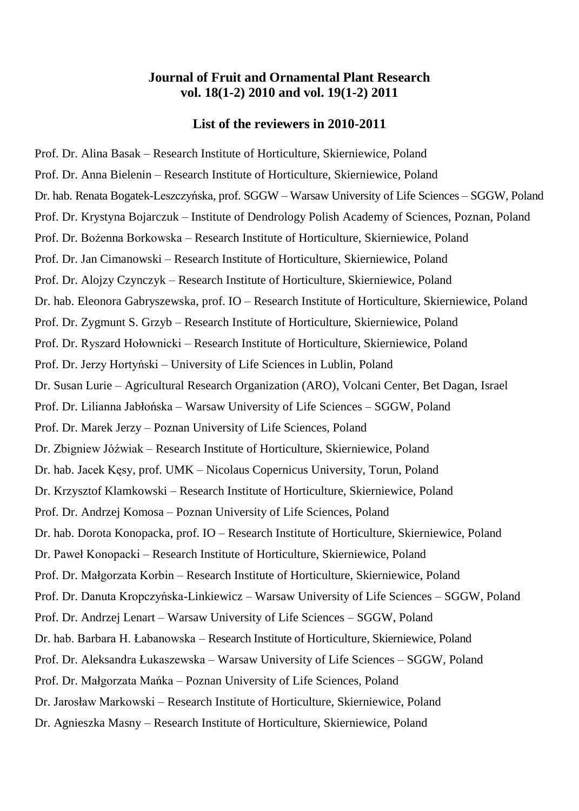## **Journal of Fruit and Ornamental Plant Research vol. 18(1-2) 2010 and vol. 19(1-2) 2011**

## **List of the reviewers in 2010-2011**

Prof. Dr. Alina Basak – Research Institute of Horticulture, Skierniewice, Poland Prof. Dr. Anna Bielenin – Research Institute of Horticulture, Skierniewice, Poland Dr. hab. Renata Bogatek-Leszczyńska, prof. SGGW – Warsaw University of Life Sciences – SGGW, Poland Prof. Dr. Krystyna Bojarczuk – Institute of Dendrology Polish Academy of Sciences, Poznan, Poland Prof. Dr. Bożenna Borkowska – Research Institute of Horticulture, Skierniewice, Poland Prof. Dr. Jan Cimanowski – Research Institute of Horticulture, Skierniewice, Poland Prof. Dr. Alojzy Czynczyk – Research Institute of Horticulture, Skierniewice, Poland Dr. hab. Eleonora Gabryszewska, prof. IO – Research Institute of Horticulture, Skierniewice, Poland Prof. Dr. Zygmunt S. Grzyb – Research Institute of Horticulture, Skierniewice, Poland Prof. Dr. Ryszard Hołownicki – Research Institute of Horticulture, Skierniewice, Poland Prof. Dr. Jerzy Hortyński – University of Life Sciences in Lublin, Poland Dr. Susan Lurie – Agricultural Research Organization (ARO), Volcani Center, Bet Dagan, Israel Prof. Dr. Lilianna Jabłońska – Warsaw University of Life Sciences – SGGW, Poland Prof. Dr. Marek Jerzy – Poznan University of Life Sciences, Poland Dr. Zbigniew Jóźwiak – Research Institute of Horticulture, Skierniewice, Poland Dr. hab. Jacek Kęsy, prof. UMK – Nicolaus Copernicus University, Torun, Poland Dr. Krzysztof Klamkowski – Research Institute of Horticulture, Skierniewice, Poland Prof. Dr. Andrzej Komosa – Poznan University of Life Sciences, Poland Dr. hab. Dorota Konopacka, prof. IO – Research Institute of Horticulture, Skierniewice, Poland Dr. Paweł Konopacki – Research Institute of Horticulture, Skierniewice, Poland Prof. Dr. Małgorzata Korbin – Research Institute of Horticulture, Skierniewice, Poland Prof. Dr. Danuta Kropczyńska-Linkiewicz – Warsaw University of Life Sciences – SGGW, Poland Prof. Dr. Andrzej Lenart – Warsaw University of Life Sciences – SGGW, Poland Dr. hab. Barbara H. Łabanowska – Research Institute of Horticulture, Skierniewice, Poland Prof. Dr. Aleksandra Łukaszewska – Warsaw University of Life Sciences – SGGW, Poland Prof. Dr. Małgorzata Mańka – Poznan University of Life Sciences, Poland Dr. Jarosław Markowski – Research Institute of Horticulture, Skierniewice, Poland Dr. Agnieszka Masny – Research Institute of Horticulture, Skierniewice, Poland